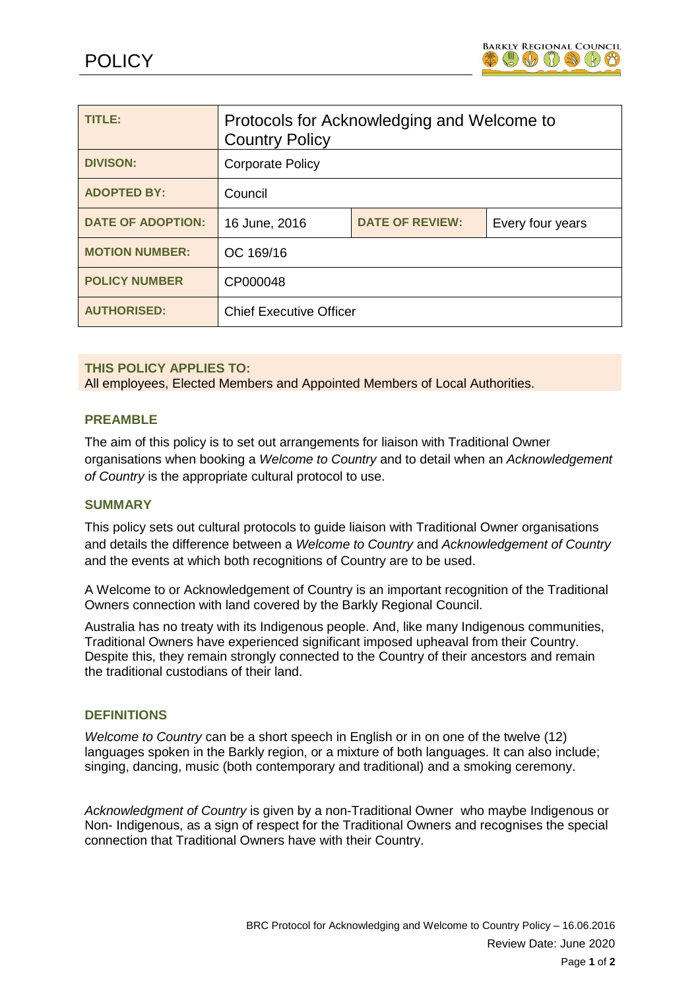

| TITLE:                   | Protocols for Acknowledging and Welcome to<br><b>Country Policy</b> |                        |                  |
|--------------------------|---------------------------------------------------------------------|------------------------|------------------|
| <b>DIVISON:</b>          | <b>Corporate Policy</b>                                             |                        |                  |
| <b>ADOPTED BY:</b>       | Council                                                             |                        |                  |
| <b>DATE OF ADOPTION:</b> | 16 June, 2016                                                       | <b>DATE OF REVIEW:</b> | Every four years |
| <b>MOTION NUMBER:</b>    | OC 169/16                                                           |                        |                  |
| <b>POLICY NUMBER</b>     | CP000048                                                            |                        |                  |
| <b>AUTHORISED:</b>       | <b>Chief Executive Officer</b>                                      |                        |                  |

### **THIS POLICY APPLIES TO:**

All employees, Elected Members and Appointed Members of Local Authorities.

### **PREAMBLE**

The aim of this policy is to set out arrangements for liaison with Traditional Owner organisations when booking a *Welcome to Country* and to detail when an *Acknowledgement of Country* is the appropriate cultural protocol to use.

#### **SUMMARY**

This policy sets out cultural protocols to guide liaison with Traditional Owner organisations and details the difference between a *Welcome to Country* and *Acknowledgement of Country* and the events at which both recognitions of Country are to be used.

A Welcome to or Acknowledgement of Country is an important recognition of the Traditional Owners connection with land covered by the Barkly Regional Council.

Australia has no treaty with its Indigenous people. And, like many Indigenous communities, Traditional Owners have experienced significant imposed upheaval from their Country. Despite this, they remain strongly connected to the Country of their ancestors and remain the traditional custodians of their land.

#### **DEFINITIONS**

*Welcome to Country* can be a short speech in English or in on one of the twelve (12) languages spoken in the Barkly region, or a mixture of both languages. It can also include; singing, dancing, music (both contemporary and traditional) and a smoking ceremony.

*Acknowledgment of Country* is given by a non-Traditional Owner who maybe Indigenous or Non- Indigenous, as a sign of respect for the Traditional Owners and recognises the special connection that Traditional Owners have with their Country.